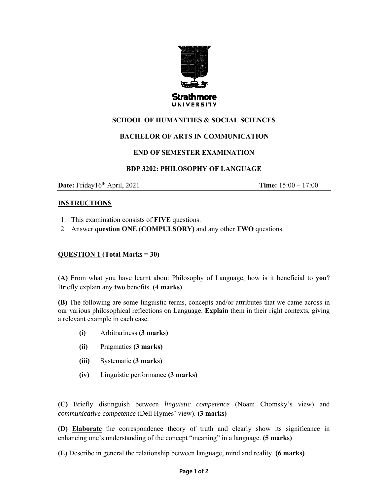

# **SCHOOL OF HUMANITIES & SOCIAL SCIENCES**

# **BACHELOR OF ARTS IN COMMUNICATION**

# **END OF SEMESTER EXAMINATION**

#### **BDP 3202: PHILOSOPHY OF LANGUAGE**

**Date:** Friday16<sup>th</sup> April, 2021 **Time:**  $15:00 - 17:00$ 

#### **INSTRUCTIONS**

- 1. This examination consists of **FIVE** questions.
- 2. Answer q**uestion ONE (COMPULSORY)** and any other **TWO** questions.

# **QUESTION 1 (Total Marks = 30)**

**(A)** From what you have learnt about Philosophy of Language, how is it beneficial to **you**? Briefly explain any **two** benefits. **(4 marks)** 

**(B)** The following are some linguistic terms, concepts and/or attributes that we came across in our various philosophical reflections on Language. **Explain** them in their right contexts, giving a relevant example in each case.

- **(i)** Arbitrariness **(3 marks)**
- **(ii)** Pragmatics **(3 marks)**
- **(iii)** Systematic **(3 marks)**
- **(iv)** Linguistic performance **(3 marks)**

**(C)** Briefly distinguish between *linguistic competence* (Noam Chomsky's view) and *communicative competence* (Dell Hymes' view). **(3 marks)** 

**(D) Elaborate** the correspondence theory of truth and clearly show its significance in enhancing one's understanding of the concept "meaning" in a language. **(5 marks)** 

**(E)** Describe in general the relationship between language, mind and reality. **(6 marks)**